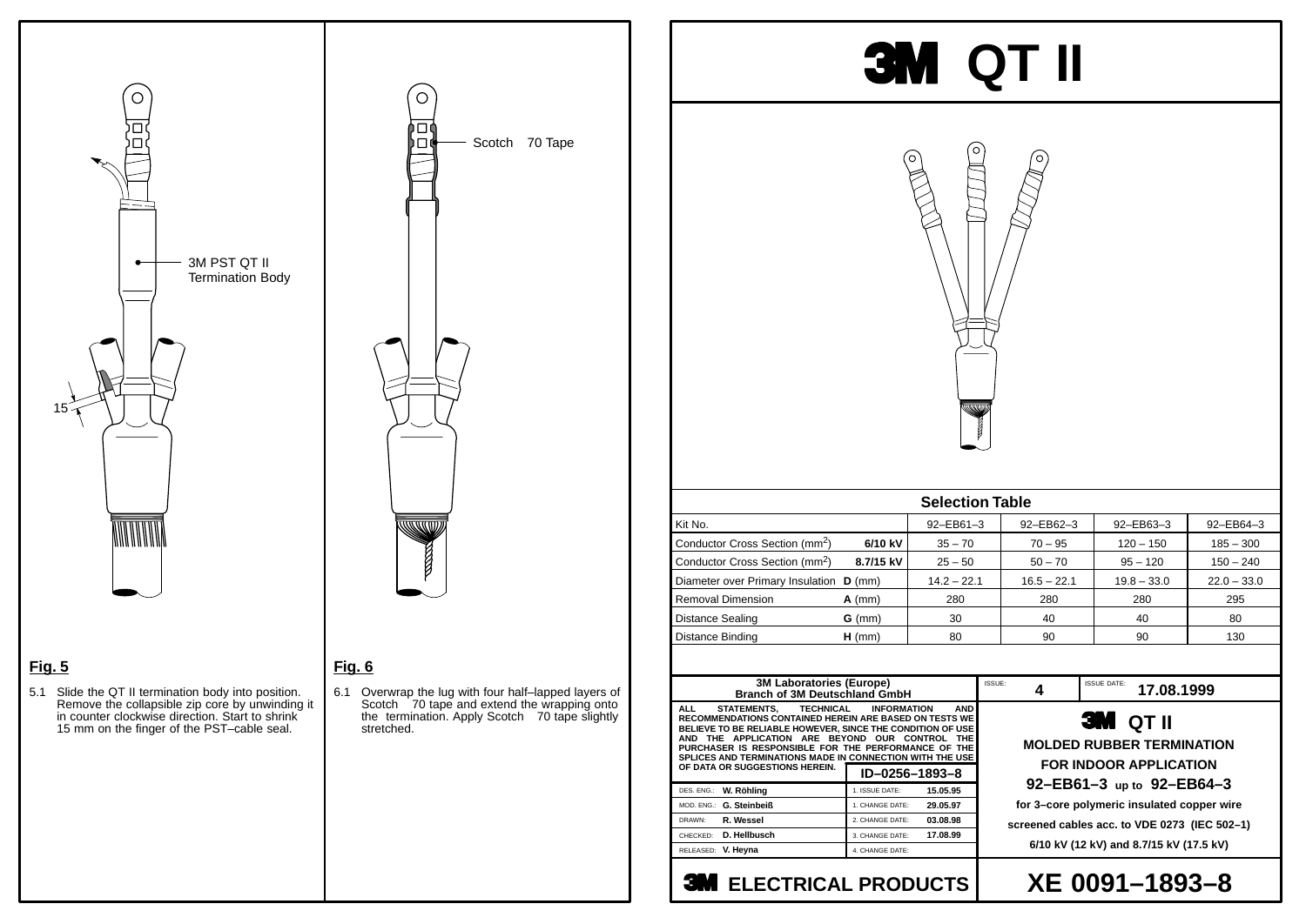### **Fig. 6**

6.1 Overwrap the lug with four half–lapped layers of Scotch ® 70 tape and extend the wrapping onto the termination. Apply Scotch® 70 tape slightly stretched.

# **3M QT II**



## **XE 0091–1893–8**

**MOLDED RUBBER TERMINATION FOR INDOOR APPLICATION 92–EB61–3 up to 92–EB64–3 for 3–core polymeric insulated copper wire screened cables acc. to VDE 0273 (IEC 502–1)**

**6/10 kV (12 kV) and 8.7/15 kV (17.5 kV)**

 $\bigcirc$ 3M PST QT II  $\bullet$ Termination Body 15 **MANITALITI** 

## **Fig. 5**

5.1 Slide the QT II termination body into position. Remove the collapsible zip core by unwinding it in counter clockwise direction. Start to shrink 15 mm on the finger of the PST–cable seal.



| <b>3M Laboratories (Europe)</b><br><b>Branch of 3M Deutschland GmbH</b>                                                                                                                                                                                                                                                                                                                                  |                 |          |  |  |  |  |
|----------------------------------------------------------------------------------------------------------------------------------------------------------------------------------------------------------------------------------------------------------------------------------------------------------------------------------------------------------------------------------------------------------|-----------------|----------|--|--|--|--|
| STATEMENTS, TECHNICAL INFORMATION<br><b>AND</b><br>ALL L<br><b>RECOMMENDATIONS CONTAINED HEREIN ARE BASED ON TESTS WE</b><br>BELIEVE TO BE RELIABLE HOWEVER, SINCE THE CONDITION OF USE<br>AND THE APPLICATION ARE BEYOND OUR CONTROL<br><b>THE</b><br>PURCHASER IS RESPONSIBLE FOR THE PERFORMANCE OF THE<br>SPLICES AND TERMINATIONS MADE IN CONNECTION WITH THE USE<br>OF DATA OR SUGGESTIONS HEREIN. |                 |          |  |  |  |  |
|                                                                                                                                                                                                                                                                                                                                                                                                          | ID-0256-1893-8  |          |  |  |  |  |
| DES. ENG.: W. Röhling                                                                                                                                                                                                                                                                                                                                                                                    | 1. ISSUE DATE:  | 15.05.95 |  |  |  |  |
| MOD. ENG.: G. Steinbeiß                                                                                                                                                                                                                                                                                                                                                                                  | 1. CHANGE DATE: | 29.05.97 |  |  |  |  |
|                                                                                                                                                                                                                                                                                                                                                                                                          |                 |          |  |  |  |  |
| R. Wessel<br>DRAWN:                                                                                                                                                                                                                                                                                                                                                                                      | 2. CHANGE DATE: | 03.08.98 |  |  |  |  |
| D. Hellbusch<br>CHECKED:                                                                                                                                                                                                                                                                                                                                                                                 | 3. CHANGE DATE: | 17.08.99 |  |  |  |  |
| RELEASED: V. Heyna                                                                                                                                                                                                                                                                                                                                                                                       | 4. CHANGE DATE: |          |  |  |  |  |

## **3M ELECTRICAL PRODUCTS**





**1SSUE: 4 17.08.1999** 

| <b>Selection Table</b>                     |           |               |               |               |               |  |
|--------------------------------------------|-----------|---------------|---------------|---------------|---------------|--|
| Kit No.                                    |           | 92-EB61-3     | 92-EB62-3     | 92-EB63-3     | 92-EB64-3     |  |
| Conductor Cross Section (mm <sup>2</sup> ) | 6/10 kV   | $35 - 70$     | $70 - 95$     | $120 - 150$   | $185 - 300$   |  |
| Conductor Cross Section (mm <sup>2</sup> ) | 8.7/15 kV | $25 - 50$     | $50 - 70$     | $95 - 120$    | $150 - 240$   |  |
| Diameter over Primary Insulation D (mm)    |           | $14.2 - 22.1$ | $16.5 - 22.1$ | $19.8 - 33.0$ | $22.0 - 33.0$ |  |
| <b>Removal Dimension</b>                   | $A$ (mm)  | 280           | 280           | 280           | 295           |  |
| <b>Distance Sealing</b>                    | $G$ (mm)  | 30            | 40            | 40            | 80            |  |
| Distance Binding                           | $H$ (mm)  | 80            | 90            | 90            | 130           |  |